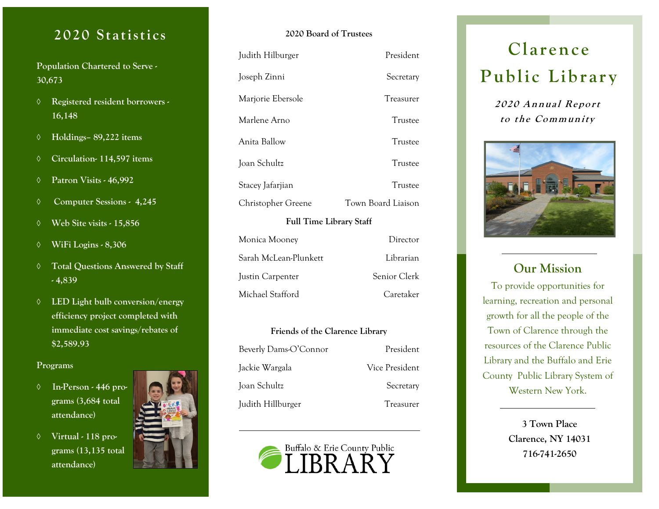### 2020 Statistics

**Population Chartered to Serve - 30,673**

- **Registered resident borrowers - 16,148**
- **Holdings– 89,222 items**
- **Circulation- 114,597 items**
- **Patron Visits - 46,992**
- **Computer Sessions 4,245**
- **Web Site visits - 15,856**
- **WiFi Logins - 8,306**
- **Total Questions Answered by Staff - 4,839**
- **LED Light bulb conversion/energy efficiency project completed with immediate cost savings/rebates of \$2,589.93**

#### **Programs**

- **In-Person - 446 programs (3,684 total attendance)**
- **Virtual - 118 programs (13,135 total attendance)**



| <b>Full Time Library Staff</b> |                    |  |
|--------------------------------|--------------------|--|
| Christopher Greene             | Town Board Liaison |  |
| Stacey Jafarjian               | Trustee            |  |
| Joan Schultz                   | Trustee            |  |
| Anita Ballow                   | Trustee            |  |
| Marlene Arno                   | Trustee            |  |
| Marjorie Ebersole              | Treasurer          |  |
| Joseph Zinni                   | Secretary          |  |
| Judith Hilburger               | President          |  |

**2020 Board of Trustees**

| Monica Mooney         | Director     |
|-----------------------|--------------|
| Sarah McLean-Plunkett | Librarian    |
| Justin Carpenter      | Senior Clerk |
| Michael Stafford      | Caretaker    |

### **Friends of the Clarence Library** Beverly Dams-O'Connor President Jackie Wargala Vice President Joan Schultz Secretary Judith Hillburger Treasurer



### **Clarenc e** Public Library

**2020 An <sup>n</sup> ual Re po <sup>r</sup> <sup>t</sup> to t he Co mm unity**



#### **Our Mission**

To provide opportunities for learning, recreation and personal growth for all the people of the Town of Clarence through the resources of the Clarence Public Library and the Buffalo and Erie County Public Library System of Western New York.

> **3 Town Place Clarence, NY 14031 716-741-2650**